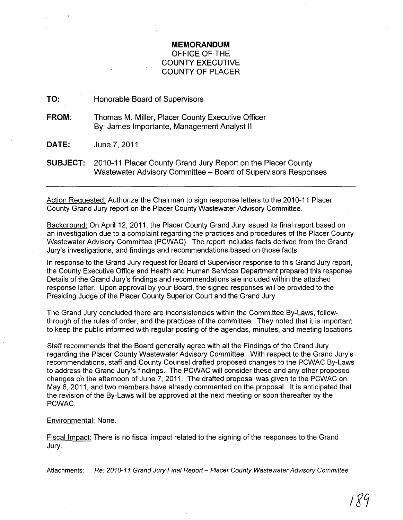# **MEMORANDUM**  OFFICE OF THE COUNTY EXECUTIVE COUNTY OF PLACER

TO: Honorable Board of Supervisors

FROM: Thomas M. Miller, Placer County Executive Officer By: James Importante, Management Analyst II

DATE: June 7,2011

SUBJECT: 2010-11 Placer County Grand Jury Report on the Placer County Wastewater Advisory Committee - Board of Supervisors Responses

Action Requested: Authorize the Chairman to sign response letters to the 2010-11 Placer County Grand Jury report on the Placer County Wastewater Advisory Committee.

Background: On April 12, 2011, the Placer County Grand Jury issued its final report based on an investigation due to a complaint regarding the practices and procedures of the Placer County Wastewater Advisory Committee (PCWAC). The report includes facts derived from the Grand Jury's investigations, and findings and recommendations based on those facts.

In response to the Grand Jury request for Board of Supervisor response to this Grand Jury report, the County Executive Office and Health and Human Services Department prepared this response. Details of the Grand Jury's findings and recommendations are included within the attached response letter. Upon approval by your Board, the signed responses will be provided to the Presiding Judge of the Placer County Superior Court and the Grand Jury.

The Grand Jury concluded there are inconsistencies within the Committee By-Laws, followthrough of the rules of order, and the practices of the committee. They noted that it is important to keep the public informed with regular posting of the agendas, minutes, and meeting locations.

Staff recommends that the Board generally agree with all the Findings of the Grand Jury regarding the Placer County Wastewater Advisory Committee. With respect to the Grand Jury's recommendations, staff and County Counsel drafted proposed changes to the PCWAC By-Laws to address the Grand Jury's findings. The PCWAC will consider these and any other proposed changes on the afternoon of June 7, 2011. The drafted proposal was given to the PCWAC on May 6, 2011, and two members have already commented on the proposal. It is anticipated that the revision of the By-Laws will be approved at the next meeting or soon thereafter by the PCWAC.

## Environmental: None.

Fiscal Impact: There is no fiscal impact related to the signing of the responses to the Grand Jury.

Attachments: Re: 2010-11 Grand Jury Final Report - Placer County Wastewater Advisory Committee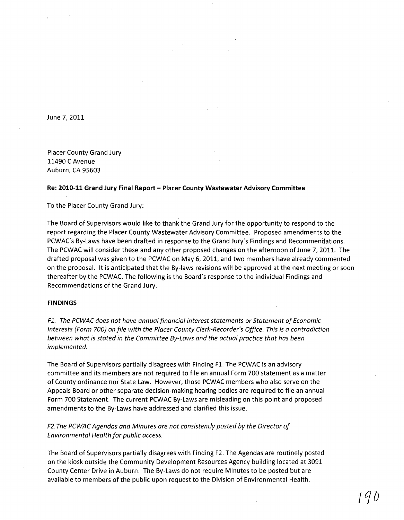June 7, 2011

Placer County Grand Jury 11490 C Avenue Auburn, CA 95603

#### Re: **2010-11 Grand Jury Final Report - Placer County Wastewater** Advisory **Committee**

To the Placer County Grand Jury:

The Board of Supervisors would like to thank the Grand Jury for the opportunity to respond to the report regarding the Placer County Wastewater Advisory Committee. Proposed amendments to the PCWAC's By-Laws have been drafted in response to the Grand Jury's Findings and Recommendations. The PCWAC will consider these and any other proposed changes on the afternoon of June 7, 2011. The drafted proposal was given to the PCWAC on May 6,2011, and two members have already commented on the proposal. It is anticipated that the By-laws revisions will be approved at the next meeting or soon thereafter by the PCWAC. The following is the Board's response to the individual Findings and Recommendations of the Grand Jury.

### **FINDINGS**

Fl. The PCWAC does not have annual financial interest statements or Statement of Economic Interests (Form 700) on file with the Placer County Clerk-Recorder's Office. This is a contradiction between what is stated in the Committee By-Laws and the actual practice that has been implemented.

The Board of Supervisors partially disagrees with Finding F1. The PCWAC is an advisory committee and its members are not required to file an annual Form 700 statement as a matter of County ordinance nor State Law. However, those PCWAC members who also serve on the Appeals Board or other separate decision-making hearing bodies are required to file an annual Form 700 Statement. The current PCWAC By-Laws are misleading on this point and proposed amendments to the By-Laws have addressed and clarified this issue.

F2. The PCWAC Agendas and Minutes are not consistently posted by the Director of Environmental Health for public access.

The Board of Supervisors partially disagrees with Finding F2. The Agendas are routinely posted on the kiosk outside the Community Development Resources Agency building located at 3091 County Center Drive in Auburn. The By-Laws do not require Minutes to be posted but are available to members of the public upon request to the Division of Environmental Health.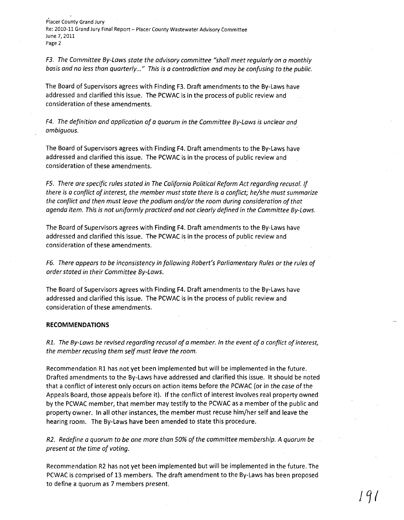Placer County Grand Jury Re: 2010-11 Grand Jury Final Report - Placer County Wastewater Advisory Committee June 7, 2011 Page 2

*F3. The Committee By-Laws state the advisory committee "shall meet regularly on a monthly basis and no less than quarterly ... " This is a contradiction and may be confusing to the public.* 

The Board of Supervisors agrees with Finding F3. Draft amendments to the By-Laws have addressed and clarified this issue. The PCWAC is in the process of public review and consideration of these amendments.

*F4. The definition and application of a quorum in the Committee By-Laws is unclear and ambiguous. .* 

The Board of Supervisors agrees with Finding F4. Draft amendments to the By-Laws have addressed and clarified this issue. The PCWAC is in the process of public review and consideration of these amendments.

*F5. There are specific rules stated in The California Political Reform Act regarding recusal. If there is a conflict of interest, the member must state there is a conflict; he/she must summarize the conflict and then must leave the podium and/or the room during consideration of that agenda item. This is not uniformly practiced and not clearly defined in the Committee By-Laws.* 

The Board of Supervisors agrees with Finding F4. Draft amendments to the By-Laws have addressed and clarified this issue. The PCWAC is in the process of public review and consideration of these amendments.

*F6. There appears to be inconsistency in following Robert's Parliamentary Rules or the rules of order stated in their Committee By-Laws.* 

The Board of Supervisors agrees with Finding F4. Draft amendments to the By-Laws have addressed and clarified this issue. The PCWAC is inthe process of public review and consideration of these amendments.

#### **RECOMMENDATIONS**

*Rl. The By-Laws be revised regarding recusal of a member. In the event of a conflict of interest, the member recusing them self must leave the room.* 

Recommendation Rl has not yet been implemented but will be implemented in the future. Drafted amendments to the By-Laws have addressed and clarified this issue. It should be noted that a conflict of interest only occurs on action items before the PCWAC (or in the case of the Appeals Board, those appeals before it). If the conflict of interest involves real property owned by the PCWAC member, that member may testify to the PCWAC as a member of the public and property owner. In all other instances, the member must recuse him/her self and leave the hearing room. The By-Laws have been amended to state this procedure.

*R2. Redefine a quorum to be one more than 50% of the committee membership. A quorum be present at the time of voting.* 

Recommendation R2 has not yet been implemented but will be implemented in the future. The PCWAC is comprised of 13 members. The draft amendment to the By-Laws has been proposed to define a quorum as 7 members present.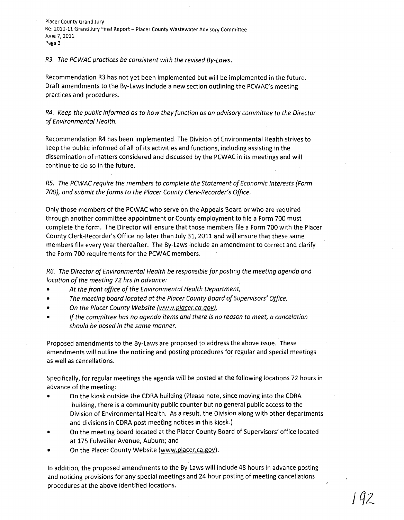Placer County Grand Jury Re: 2010-11 Grand Jury Final Report - Placer County Wastewater Advisory Committee June 7, 2011 Page 3

## R3. The PCWAC practices be consistent with the revised By-Laws.

Recommendation R3 has not yet been implemented but will be implemented in the future. Draft amendments to the By-Laws include a new section outlining the PCWAC's meeting practices and procedures.

R4. Keep the public informed as to how they function as an advisory committee to the Director of Environmental Health.

Recommendation R4 has been implemented. The Division of Environmental Health strives to keep the public informed of all of its activities and functions, including assisting in the dissemination of matters considered and discussed by the PCWAC in its meetings and will continue to do so in the future.

R5. The PCWAC require the members to complete the Statement of Economic Interests (Form 700), and submit the forms to the Placer County Clerk-Recorder's Office.

Only those members of the PCWAC who serve on the Appeals Board or who are required through another committee appointment or County employment to file a Form 700 must complete the form. The Director will ensure that those members file a Form 700 with the Placer County Clerk-Recorder's Office no later than July 31,2011 and will ensure that these same members file every year thereafter. The By-Laws include an amendment to correct and clarify the Form 700 requirements for the PCWAC members.

R6. The Director of Environmental Health be responsible for posting the meeting agenda and location of the meeting 72 hrs in advance:

- *At* the front office of the Environmental Health Department,
- The meeting board located at the Placer County Board of Supervisors' Office,
- On the Placer County Website (www.placer.ca.gov),
- If the committee has no agenda items and there is no reason to meet, a cancelation should be posed in the same manner.

Proposed amendments to the By-Laws are proposed to address the above issue. These amendments will outline the noticing and posting procedures for regular and special meetings as well as cancellations.

Specifically, for regular meetings the agenda will be posted at the following locations 72 hours in advance of the meeting:

- On the kiosk outside the CORA building (Please note, since moving into the CORA building, there is a community public counter but no general public access to the Division of Environmental Health. As a result, the Division along with other departments and divisions in CORA post meeting notices in this kiosk.)
- On the meeting board located at the Placer County Board of Supervisors' office located at 175 Fulweiler Avenue, Auburn; and
- On the Placer County Website (www.placer.ca.gov).

In addition, the proposed amendments to the By-Laws will include 48 hours in advance posting and noticing provisions for any special meetings and 24 hour posting of meeting cancellations procedures at the above identified locations.